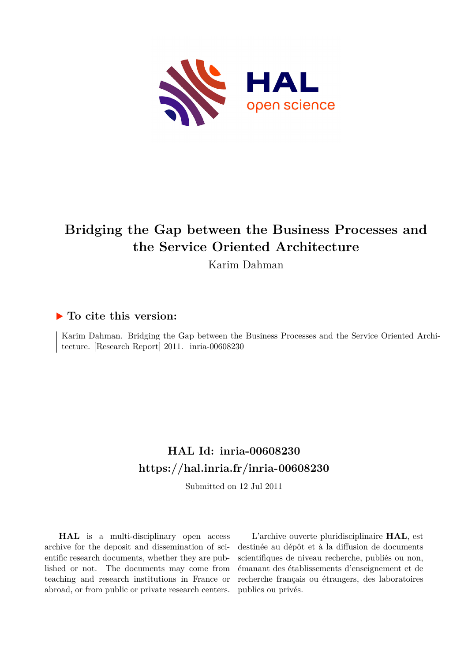

# **Bridging the Gap between the Business Processes and the Service Oriented Architecture**

Karim Dahman

## **To cite this version:**

Karim Dahman. Bridging the Gap between the Business Processes and the Service Oriented Architecture. [Research Report]  $2011.$  inria-00608230

## **HAL Id: inria-00608230 <https://hal.inria.fr/inria-00608230>**

Submitted on 12 Jul 2011

**HAL** is a multi-disciplinary open access archive for the deposit and dissemination of scientific research documents, whether they are published or not. The documents may come from teaching and research institutions in France or abroad, or from public or private research centers.

L'archive ouverte pluridisciplinaire **HAL**, est destinée au dépôt et à la diffusion de documents scientifiques de niveau recherche, publiés ou non, émanant des établissements d'enseignement et de recherche français ou étrangers, des laboratoires publics ou privés.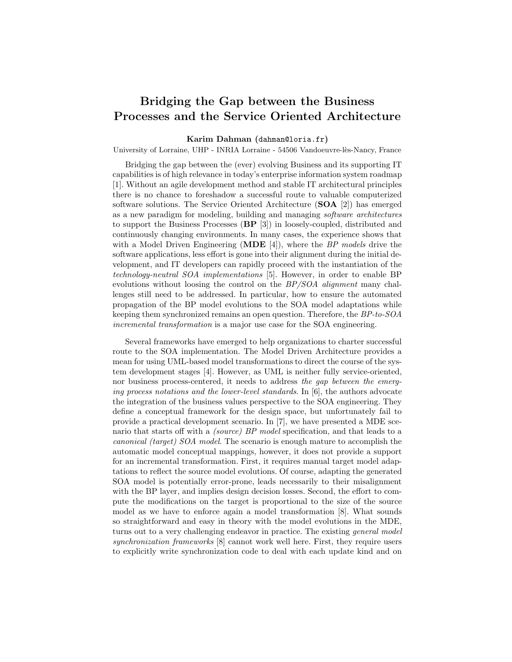### **Bridging the Gap between the Business Processes and the Service Oriented Architecture**

#### **Karim Dahman (**dahman@loria.fr**)**

University of Lorraine, UHP - INRIA Lorraine - 54506 Vandoeuvre-lès-Nancy, France

Bridging the gap between the (ever) evolving Business and its supporting IT capabilities is of high relevance in today's enterprise information system roadmap [1]. Without an agile development method and stable IT architectural principles there is no chance to foreshadow a successful route to valuable computerized software solutions. The Service Oriented Architecture (**SOA** [2]) has emerged as a new paradigm for modeling, building and managing *software architectures* to support the Business Processes (**BP** [3]) in loosely-coupled, distributed and continuously changing environments. In many cases, the experience shows that with a Model Driven Engineering (**MDE** [4]), where the *BP models* drive the software applications, less effort is gone into their alignment during the initial development, and IT developers can rapidly proceed with the instantiation of the *technology-neutral SOA implementations* [5]. However, in order to enable BP evolutions without loosing the control on the *BP/SOA alignment* many challenges still need to be addressed. In particular, how to ensure the automated propagation of the BP model evolutions to the SOA model adaptations while keeping them synchronized remains an open question. Therefore, the *BP-to-SOA incremental transformation* is a major use case for the SOA engineering.

Several frameworks have emerged to help organizations to charter successful route to the SOA implementation. The Model Driven Architecture provides a mean for using UML-based model transformations to direct the course of the system development stages [4]. However, as UML is neither fully service-oriented, nor business process-centered, it needs to address *the gap between the emerging process notations and the lower-level standards*. In [6], the authors advocate the integration of the business values perspective to the SOA engineering. They define a conceptual framework for the design space, but unfortunately fail to provide a practical development scenario. In [7], we have presented a MDE scenario that starts off with a *(source) BP model* specification, and that leads to a *canonical (target) SOA model*. The scenario is enough mature to accomplish the automatic model conceptual mappings, however, it does not provide a support for an incremental transformation. First, it requires manual target model adaptations to reflect the source model evolutions. Of course, adapting the generated SOA model is potentially error-prone, leads necessarily to their misalignment with the BP layer, and implies design decision losses. Second, the effort to compute the modifications on the target is proportional to the size of the source model as we have to enforce again a model transformation [8]. What sounds so straightforward and easy in theory with the model evolutions in the MDE, turns out to a very challenging endeavor in practice. The existing *general model synchronization frameworks* [8] cannot work well here. First, they require users to explicitly write synchronization code to deal with each update kind and on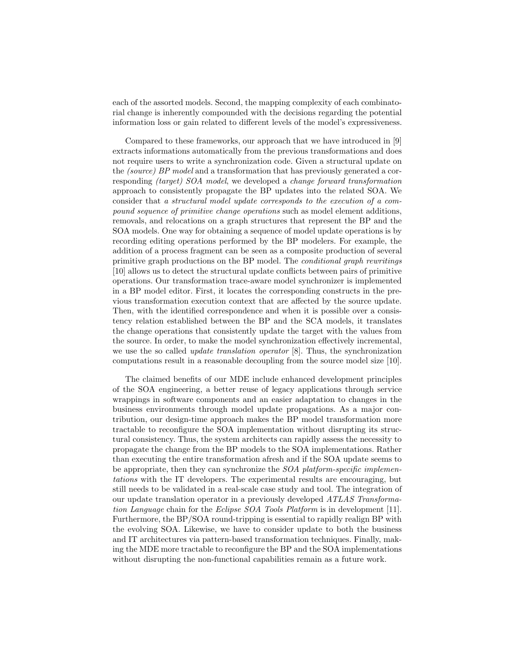each of the assorted models. Second, the mapping complexity of each combinatorial change is inherently compounded with the decisions regarding the potential information loss or gain related to different levels of the model's expressiveness.

Compared to these frameworks, our approach that we have introduced in [9] extracts informations automatically from the previous transformations and does not require users to write a synchronization code. Given a structural update on the *(source) BP model* and a transformation that has previously generated a corresponding *(target) SOA model*, we developed a *change forward transformation* approach to consistently propagate the BP updates into the related SOA. We consider that *a structural model update corresponds to the execution of a compound sequence of primitive change operations* such as model element additions, removals, and relocations on a graph structures that represent the BP and the SOA models. One way for obtaining a sequence of model update operations is by recording editing operations performed by the BP modelers. For example, the addition of a process fragment can be seen as a composite production of several primitive graph productions on the BP model. The *conditional graph rewritings* [10] allows us to detect the structural update conflicts between pairs of primitive operations. Our transformation trace-aware model synchronizer is implemented in a BP model editor. First, it locates the corresponding constructs in the previous transformation execution context that are affected by the source update. Then, with the identified correspondence and when it is possible over a consistency relation established between the BP and the SCA models, it translates the change operations that consistently update the target with the values from the source. In order, to make the model synchronization effectively incremental, we use the so called *update translation operator* [8]. Thus, the synchronization computations result in a reasonable decoupling from the source model size [10].

The claimed benefits of our MDE include enhanced development principles of the SOA engineering, a better reuse of legacy applications through service wrappings in software components and an easier adaptation to changes in the business environments through model update propagations. As a major contribution, our design-time approach makes the BP model transformation more tractable to reconfigure the SOA implementation without disrupting its structural consistency. Thus, the system architects can rapidly assess the necessity to propagate the change from the BP models to the SOA implementations. Rather than executing the entire transformation afresh and if the SOA update seems to be appropriate, then they can synchronize the *SOA platform-specific implementations* with the IT developers. The experimental results are encouraging, but still needs to be validated in a real-scale case study and tool. The integration of our update translation operator in a previously developed *ATLAS Transformation Language* chain for the *Eclipse SOA Tools Platform* is in development [11]. Furthermore, the BP/SOA round-tripping is essential to rapidly realign BP with the evolving SOA. Likewise, we have to consider update to both the business and IT architectures via pattern-based transformation techniques. Finally, making the MDE more tractable to reconfigure the BP and the SOA implementations without disrupting the non-functional capabilities remain as a future work.